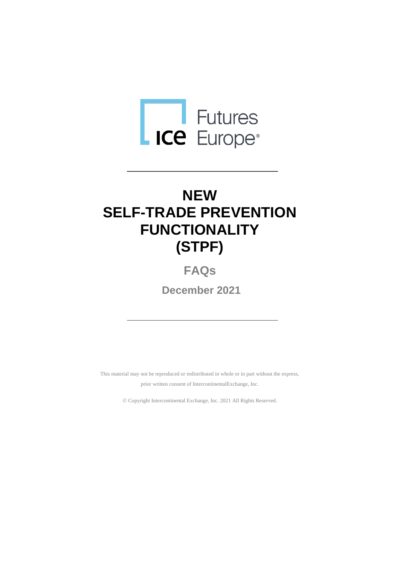

# **NEW SELF-TRADE PREVENTION FUNCTIONALITY (STPF)**

**FAQs**

**December 2021**

This material may not be reproduced or redistributed in whole or in part without the express, prior written consent of IntercontinentalExchange, Inc.

© Copyright Intercontinental Exchange, Inc. 2021 All Rights Reserved.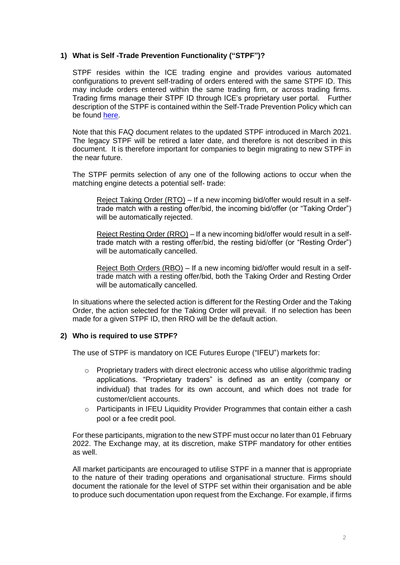# **1) What is Self -Trade Prevention Functionality ("STPF")?**

STPF resides within the ICE trading engine and provides various automated configurations to prevent self-trading of orders entered with the same STPF ID. This may include orders entered within the same trading firm, or across trading firms. Trading firms manage their STPF ID through ICE's proprietary user portal. Further description of the STPF is contained within the Self-Trade Prevention Policy which can be found [here.](https://www.theice.com/publicdocs/futures/IFEU_Self_Trade_Prevention_Policy.pdf)

Note that this FAQ document relates to the updated STPF introduced in March 2021. The legacy STPF will be retired a later date, and therefore is not described in this document. It is therefore important for companies to begin migrating to new STPF in the near future.

The STPF permits selection of any one of the following actions to occur when the matching engine detects a potential self- trade:

Reject Taking Order (RTO) – If a new incoming bid/offer would result in a selftrade match with a resting offer/bid, the incoming bid/offer (or "Taking Order") will be automatically rejected.

Reject Resting Order (RRO) – If a new incoming bid/offer would result in a selftrade match with a resting offer/bid, the resting bid/offer (or "Resting Order") will be automatically cancelled.

Reject Both Orders (RBO) – If a new incoming bid/offer would result in a selftrade match with a resting offer/bid, both the Taking Order and Resting Order will be automatically cancelled.

In situations where the selected action is different for the Resting Order and the Taking Order, the action selected for the Taking Order will prevail. If no selection has been made for a given STPF ID, then RRO will be the default action.

# **2) Who is required to use STPF?**

The use of STPF is mandatory on ICE Futures Europe ("IFEU") markets for:

- $\circ$  Proprietary traders with direct electronic access who utilise algorithmic trading applications. "Proprietary traders" is defined as an entity (company or individual) that trades for its own account, and which does not trade for customer/client accounts.
- $\circ$  Participants in IFEU Liquidity Provider Programmes that contain either a cash pool or a fee credit pool.

For these participants, migration to the new STPF must occur no later than 01 February 2022. The Exchange may, at its discretion, make STPF mandatory for other entities as well.

All market participants are encouraged to utilise STPF in a manner that is appropriate to the nature of their trading operations and organisational structure. Firms should document the rationale for the level of STPF set within their organisation and be able to produce such documentation upon request from the Exchange. For example, if firms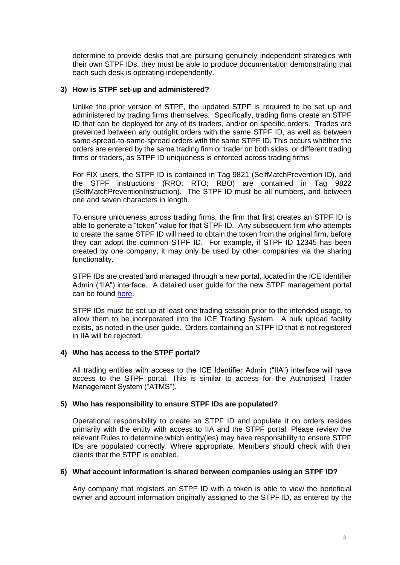determine to provide desks that are pursuing genuinely independent strategies with their own STPF IDs, they must be able to produce documentation demonstrating that each such desk is operating independently.

#### **3) How is STPF set-up and administered?**

Unlike the prior version of STPF, the updated STPF is required to be set up and administered by trading firms themselves. Specifically, trading firms create an STPF ID that can be deployed for any of its traders, and/or on specific orders. Trades are prevented between any outright orders with the same STPF ID, as well as between same-spread-to-same-spread orders with the same STPF ID. This occurs whether the orders are entered by the same trading firm or trader on both sides, or different trading firms or traders, as STPF ID uniqueness is enforced across trading firms.

For FIX users, the STPF ID is contained in Tag 9821 (SelfMatchPrevention ID), and the STPF instructions (RRO; RTO; RBO) are contained in Tag 9822 (SelfMatchPreventionInstruction). The STPF ID must be all numbers, and between one and seven characters in length.

To ensure uniqueness across trading firms, the firm that first creates an STPF ID is able to generate a "token" value for that STPF ID. Any subsequent firm who attempts to create the same STPF ID will need to obtain the token from the original firm, before they can adopt the common STPF ID. For example, if STPF ID 12345 has been created by one company, it may only be used by other companies via the sharing functionality.

STPF IDs are created and managed through a new portal, located in the ICE Identifier Admin ("IIA") interface. A detailed user guide for the new STPF management portal can be found [here.](https://www.theice.com/publicdocs/STPF_User_Guide.pdf)

STPF IDs must be set up at least one trading session prior to the intended usage, to allow them to be incorporated into the ICE Trading System. A bulk upload facility exists, as noted in the user guide. Orders containing an STPF ID that is not registered in IIA will be rejected.

# **4) Who has access to the STPF portal?**

All trading entities with access to the ICE Identifier Admin ("IIA") interface will have access to the STPF portal. This is similar to access for the Authorised Trader Management System ("ATMS").

# **5) Who has responsibility to ensure STPF IDs are populated?**

Operational responsibility to create an STPF ID and populate it on orders resides primarily with the entity with access to IIA and the STPF portal. Please review the relevant Rules to determine which entity(ies) may have responsibility to ensure STPF IDs are populated correctly. Where appropriate, Members should check with their clients that the STPF is enabled.

#### **6) What account information is shared between companies using an STPF ID?**

Any company that registers an STPF ID with a token is able to view the beneficial owner and account information originally assigned to the STPF ID, as entered by the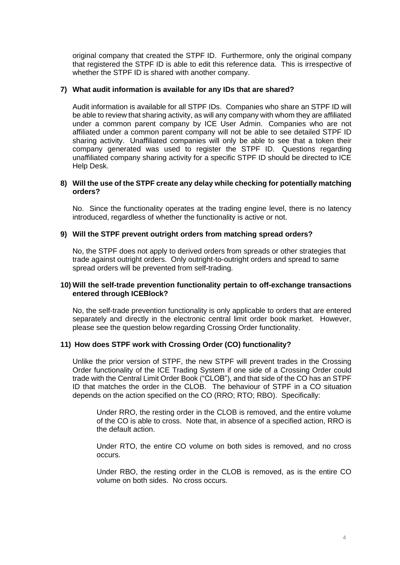original company that created the STPF ID. Furthermore, only the original company that registered the STPF ID is able to edit this reference data. This is irrespective of whether the STPF ID is shared with another company.

#### **7) What audit information is available for any IDs that are shared?**

Audit information is available for all STPF IDs. Companies who share an STPF ID will be able to review that sharing activity, as will any company with whom they are affiliated under a common parent company by ICE User Admin. Companies who are not affiliated under a common parent company will not be able to see detailed STPF ID sharing activity. Unaffiliated companies will only be able to see that a token their company generated was used to register the STPF ID. Questions regarding unaffiliated company sharing activity for a specific STPF ID should be directed to ICE Help Desk.

#### **8) Will the use of the STPF create any delay while checking for potentially matching orders?**

No. Since the functionality operates at the trading engine level, there is no latency introduced, regardless of whether the functionality is active or not.

#### **9) Will the STPF prevent outright orders from matching spread orders?**

No, the STPF does not apply to derived orders from spreads or other strategies that trade against outright orders. Only outright-to-outright orders and spread to same spread orders will be prevented from self-trading.

#### **10) Will the self-trade prevention functionality pertain to off-exchange transactions entered through ICEBlock?**

No, the self-trade prevention functionality is only applicable to orders that are entered separately and directly in the electronic central limit order book market. However, please see the question below regarding Crossing Order functionality.

#### **11) How does STPF work with Crossing Order (CO) functionality?**

Unlike the prior version of STPF, the new STPF will prevent trades in the Crossing Order functionality of the ICE Trading System if one side of a Crossing Order could trade with the Central Limit Order Book ("CLOB"), and that side of the CO has an STPF ID that matches the order in the CLOB. The behaviour of STPF in a CO situation depends on the action specified on the CO (RRO; RTO; RBO). Specifically:

Under RRO, the resting order in the CLOB is removed, and the entire volume of the CO is able to cross. Note that, in absence of a specified action, RRO is the default action.

Under RTO, the entire CO volume on both sides is removed, and no cross occurs.

Under RBO, the resting order in the CLOB is removed, as is the entire CO volume on both sides. No cross occurs.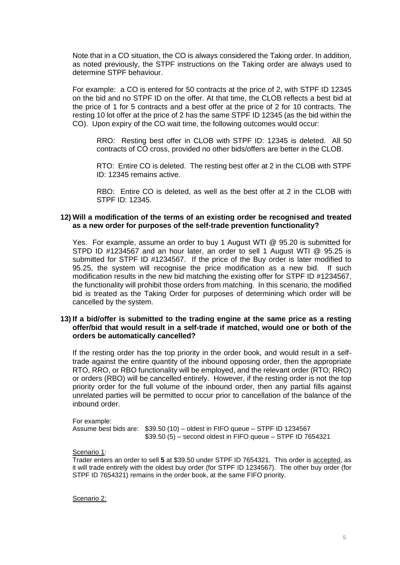Note that in a CO situation, the CO is always considered the Taking order. In addition, as noted previously, the STPF instructions on the Taking order are always used to determine STPF behaviour.

For example: a CO is entered for 50 contracts at the price of 2, with STPF ID 12345 on the bid and no STPF ID on the offer. At that time, the CLOB reflects a best bid at the price of 1 for 5 contracts and a best offer at the price of 2 for 10 contracts. The resting 10 lot offer at the price of 2 has the same STPF ID 12345 (as the bid within the CO). Upon expiry of the CO wait time, the following outcomes would occur:

RRO: Resting best offer in CLOB with STPF ID: 12345 is deleted. All 50 contracts of CO cross, provided no other bids/offers are better in the CLOB.

RTO: Entire CO is deleted. The resting best offer at 2 in the CLOB with STPF ID: 12345 remains active.

RBO: Entire CO is deleted, as well as the best offer at 2 in the CLOB with STPF ID: 12345.

#### **12) Will a modification of the terms of an existing order be recognised and treated as a new order for purposes of the self-trade prevention functionality?**

Yes. For example, assume an order to buy 1 August WTI @ 95.20 is submitted for STPD ID #1234567 and an hour later, an order to sell 1 August WTI @ 95.25 is submitted for STPF ID #1234567. If the price of the Buy order is later modified to 95.25, the system will recognise the price modification as a new bid. If such modification results in the new bid matching the existing offer for STPF ID #1234567, the functionality will prohibit those orders from matching. In this scenario, the modified bid is treated as the Taking Order for purposes of determining which order will be cancelled by the system.

#### **13) If a bid/offer is submitted to the trading engine at the same price as a resting offer/bid that would result in a self-trade if matched, would one or both of the orders be automatically cancelled?**

If the resting order has the top priority in the order book, and would result in a selftrade against the entire quantity of the inbound opposing order, then the appropriate RTO, RRO, or RBO functionality will be employed, and the relevant order (RTO; RRO) or orders (RBO) will be cancelled entirely. However, if the resting order is not the top priority order for the full volume of the inbound order, then any partial fills against unrelated parties will be permitted to occur prior to cancellation of the balance of the inbound order.

For example: Assume best bids are: \$39.50 (10) – oldest in FIFO queue – STPF ID 1234567 \$39.50 (5) – second oldest in FIFO queue – STPF ID 7654321

Scenario 1:

Trader enters an order to sell **5** at \$39.50 under STPF ID 7654321. This order is accepted, as it will trade entirely with the oldest buy order (for STPF ID 1234567). The other buy order (for STPF ID 7654321) remains in the order book, at the same FIFO priority.

Scenario 2: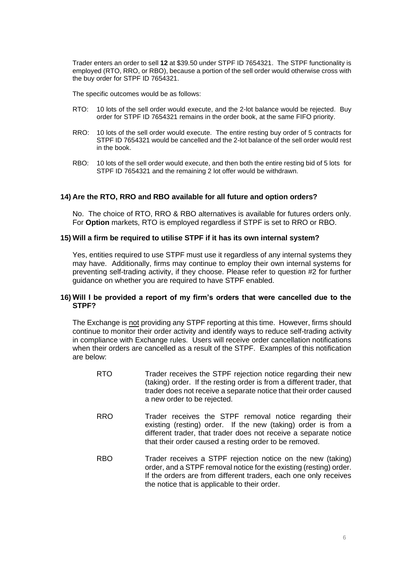Trader enters an order to sell **12** at \$39.50 under STPF ID 7654321. The STPF functionality is employed (RTO, RRO, or RBO), because a portion of the sell order would otherwise cross with the buy order for STPF ID 7654321.

The specific outcomes would be as follows:

- RTO: 10 lots of the sell order would execute, and the 2-lot balance would be rejected. Buy order for STPF ID 7654321 remains in the order book, at the same FIFO priority.
- RRO: 10 lots of the sell order would execute. The entire resting buy order of 5 contracts for STPF ID 7654321 would be cancelled and the 2-lot balance of the sell order would rest in the book.
- RBO: 10 lots of the sell order would execute, and then both the entire resting bid of 5 lots for STPF ID 7654321 and the remaining 2 lot offer would be withdrawn.

#### **14) Are the RTO, RRO and RBO available for all future and option orders?**

No. The choice of RTO, RRO & RBO alternatives is available for futures orders only. For **Option** markets, RTO is employed regardless if STPF is set to RRO or RBO.

#### **15) Will a firm be required to utilise STPF if it has its own internal system?**

Yes, entities required to use STPF must use it regardless of any internal systems they may have. Additionally, firms may continue to employ their own internal systems for preventing self-trading activity, if they choose. Please refer to question #2 for further guidance on whether you are required to have STPF enabled.

#### **16) Will I be provided a report of my firm's orders that were cancelled due to the STPF?**

The Exchange is not providing any STPF reporting at this time. However, firms should continue to monitor their order activity and identify ways to reduce self-trading activity in compliance with Exchange rules. Users will receive order cancellation notifications when their orders are cancelled as a result of the STPF. Examples of this notification are below:

- RTO Trader receives the STPF rejection notice regarding their new (taking) order. If the resting order is from a different trader, that trader does not receive a separate notice that their order caused a new order to be rejected.
- RRO Trader receives the STPF removal notice regarding their existing (resting) order. If the new (taking) order is from a different trader, that trader does not receive a separate notice that their order caused a resting order to be removed.
- RBO Trader receives a STPF rejection notice on the new (taking) order, and a STPF removal notice for the existing (resting) order. If the orders are from different traders, each one only receives the notice that is applicable to their order.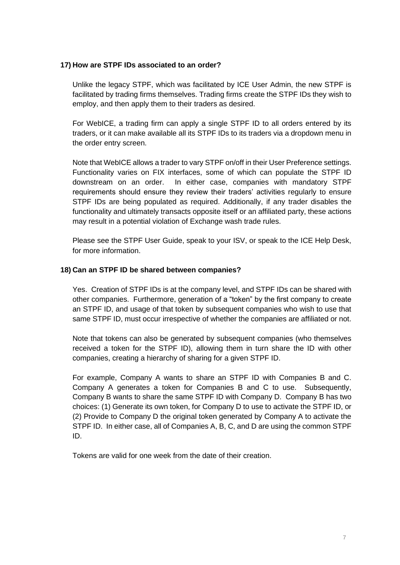# **17) How are STPF IDs associated to an order?**

Unlike the legacy STPF, which was facilitated by ICE User Admin, the new STPF is facilitated by trading firms themselves. Trading firms create the STPF IDs they wish to employ, and then apply them to their traders as desired.

For WebICE, a trading firm can apply a single STPF ID to all orders entered by its traders, or it can make available all its STPF IDs to its traders via a dropdown menu in the order entry screen.

Note that WebICE allows a trader to vary STPF on/off in their User Preference settings. Functionality varies on FIX interfaces, some of which can populate the STPF ID downstream on an order. In either case, companies with mandatory STPF requirements should ensure they review their traders' activities regularly to ensure STPF IDs are being populated as required. Additionally, if any trader disables the functionality and ultimately transacts opposite itself or an affiliated party, these actions may result in a potential violation of Exchange wash trade rules.

Please see the STPF User Guide, speak to your ISV, or speak to the ICE Help Desk, for more information.

# **18) Can an STPF ID be shared between companies?**

Yes. Creation of STPF IDs is at the company level, and STPF IDs can be shared with other companies. Furthermore, generation of a "token" by the first company to create an STPF ID, and usage of that token by subsequent companies who wish to use that same STPF ID, must occur irrespective of whether the companies are affiliated or not.

Note that tokens can also be generated by subsequent companies (who themselves received a token for the STPF ID), allowing them in turn share the ID with other companies, creating a hierarchy of sharing for a given STPF ID.

For example, Company A wants to share an STPF ID with Companies B and C. Company A generates a token for Companies B and C to use. Subsequently, Company B wants to share the same STPF ID with Company D. Company B has two choices: (1) Generate its own token, for Company D to use to activate the STPF ID, or (2) Provide to Company D the original token generated by Company A to activate the STPF ID. In either case, all of Companies A, B, C, and D are using the common STPF ID.

Tokens are valid for one week from the date of their creation.